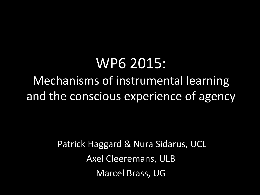WP6 2015: Mechanisms of instrumental learning and the conscious experience of agency

> Patrick Haggard & Nura Sidarus, UCL Axel Cleeremans, ULB Marcel Brass, UG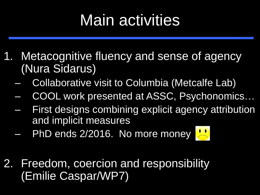## Main activities

- 1. Metacognitive fluency and sense of agency (Nura Sidarus)
	- Collaborative visit to Columbia (Metcalfe Lab)
	- COOL work presented at ASSC, Psychonomics…
	- First designs combining explicit agency attribution and implicit measures
	- $-$  PhD ends 2/2016. No more money
- 2. Freedom, coercion and responsibility (Emilie Caspar/WP7)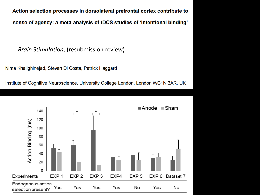Action selection processes in dorsolateral prefrontal cortex contribute to sense of agency: a meta-analysis of tDCS studies of 'intentional binding'

*Brain Stimulation*, (resubmission review)

Nima Khalighinejad, Steven Di Costa, Patrick Haggard

Institute of Cognitive Neuroscience, University College London, London WC1N 3AR, UK

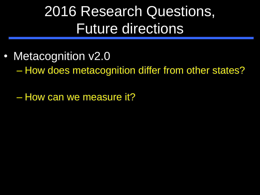## 2016 Research Questions, Future directions

• Metacognition v2.0

– How does metacognition differ from other states?

– How can we measure it?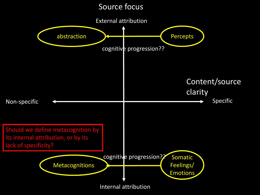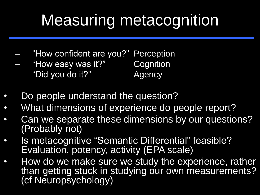## Measuring metacognition

- "How confident are you?" Perception
- "How easy was it?" Cognition
- "Did you do it?" Agency
- Do people understand the question?
- What dimensions of experience do people report?
- Can we separate these dimensions by our questions? (Probably not)
- Is metacognitive "Semantic Differential" feasible? Evaluation, potency, activity (EPA scale)
- How do we make sure we study the experience, rather than getting stuck in studying our own measurements? (cf Neuropsychology)